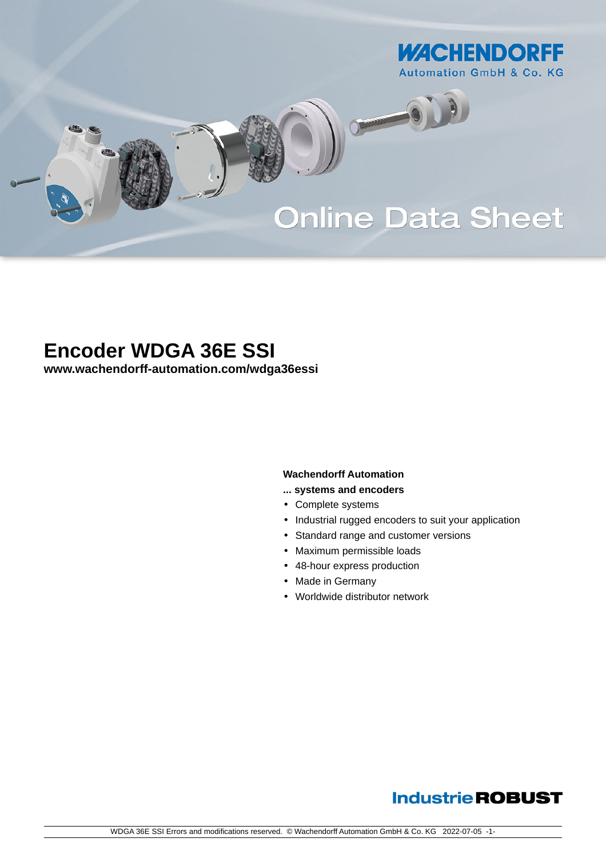

# **Online Data Sheet**

Camara

# **Encoder WDGA 36E SSI**

**[www.wachendorff-automation.com/wdga36essi](https://www.wachendorff-automation.com/wdga36essi)**

#### **Wachendorff Automation**

- **... systems and encoders**
- Complete systems
- Industrial rugged encoders to suit your application
- Standard range and customer versions
- Maximum permissible loads
- 48-hour express production
- Made in Germany
- Worldwide distributor network

# **Industrie ROBUST**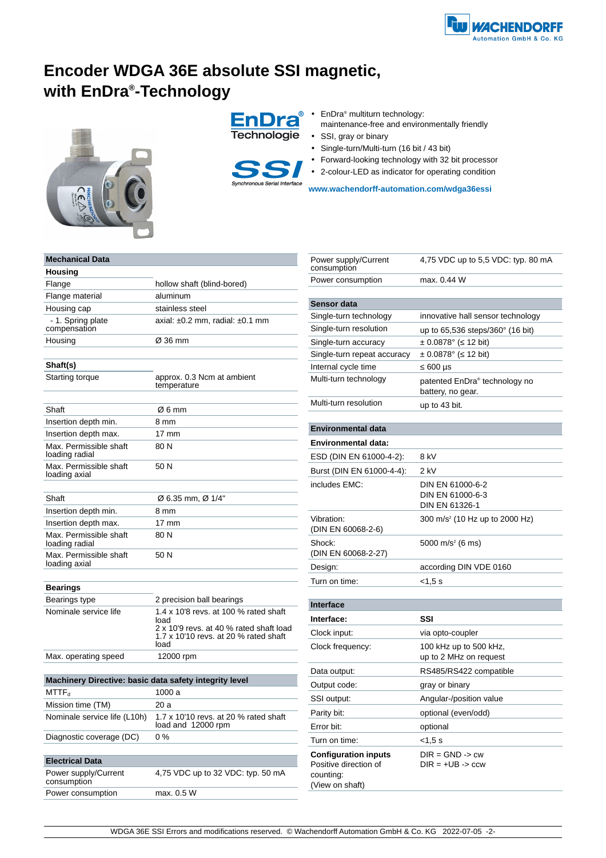# **Encoder WDGA 36E absolute SSI magnetic, with EnDra® -Technology**







- EnDra<sup>®</sup> multiturn technology:
- maintenance-free and environmentally friendly
- SSI, gray or binary
- Single-turn/Multi-turn (16 bit / 43 bit)
- Forward-looking technology with 32 bit processor
- 2-colour-LED as indicator for operating condition

**[www.wachendorff-automation.com/wdga36essi](https://www.wachendorff-automation.com/wdga36essi)**

| <b>Mechanical Data</b>                                 |                                                                                  |  |  |  |  |  |  |
|--------------------------------------------------------|----------------------------------------------------------------------------------|--|--|--|--|--|--|
| Housing                                                |                                                                                  |  |  |  |  |  |  |
| Flange                                                 | hollow shaft (blind-bored)                                                       |  |  |  |  |  |  |
| Flange material                                        | aluminum                                                                         |  |  |  |  |  |  |
| Housing cap                                            | stainless steel                                                                  |  |  |  |  |  |  |
| - 1. Spring plate<br>compensation                      | axial: $\pm 0.2$ mm. radial: $\pm 0.1$ mm                                        |  |  |  |  |  |  |
| Housing                                                | Ø 36 mm                                                                          |  |  |  |  |  |  |
|                                                        |                                                                                  |  |  |  |  |  |  |
| Shaft(s)                                               |                                                                                  |  |  |  |  |  |  |
| Starting torque                                        | approx. 0.3 Ncm at ambient<br>temperature                                        |  |  |  |  |  |  |
| Shaft                                                  | Ø6 mm                                                                            |  |  |  |  |  |  |
| Insertion depth min.                                   | 8 mm                                                                             |  |  |  |  |  |  |
| Insertion depth max.                                   | $17 \text{ mm}$                                                                  |  |  |  |  |  |  |
| Max. Permissible shaft<br>loading radial               | 80 N                                                                             |  |  |  |  |  |  |
| Max. Permissible shaft<br>loading axial                | 50 N                                                                             |  |  |  |  |  |  |
|                                                        |                                                                                  |  |  |  |  |  |  |
| Shaft                                                  | Ø 6.35 mm, Ø 1/4"                                                                |  |  |  |  |  |  |
| Insertion depth min.                                   | 8 mm                                                                             |  |  |  |  |  |  |
| Insertion depth max.                                   | 17 mm                                                                            |  |  |  |  |  |  |
| Max. Permissible shaft<br>loading radial               | 80 N                                                                             |  |  |  |  |  |  |
| Max. Permissible shaft<br>loading axial                | 50 N                                                                             |  |  |  |  |  |  |
|                                                        |                                                                                  |  |  |  |  |  |  |
| <b>Bearings</b><br>Bearings type                       | 2 precision ball bearings                                                        |  |  |  |  |  |  |
| Nominale service life                                  | 1.4 x 10'8 revs. at 100 % rated shaft                                            |  |  |  |  |  |  |
|                                                        | load                                                                             |  |  |  |  |  |  |
|                                                        | 2 x 10'9 revs. at 40 % rated shaft load<br>1.7 x 10'10 revs. at 20 % rated shaft |  |  |  |  |  |  |
|                                                        | load                                                                             |  |  |  |  |  |  |
| Max. operating speed                                   | 12000 rpm                                                                        |  |  |  |  |  |  |
|                                                        |                                                                                  |  |  |  |  |  |  |
| Machinery Directive: basic data safety integrity level |                                                                                  |  |  |  |  |  |  |
| $MTTF_d$                                               | 1000 a                                                                           |  |  |  |  |  |  |
| Mission time (TM)                                      | 20 a                                                                             |  |  |  |  |  |  |
| Nominale service life (L10h)                           | 1.7 x 10'10 revs. at 20 % rated shaft<br>load and 12000 rpm                      |  |  |  |  |  |  |
| Diagnostic coverage (DC)                               | 0 %                                                                              |  |  |  |  |  |  |
|                                                        |                                                                                  |  |  |  |  |  |  |
| <b>Electrical Data</b>                                 |                                                                                  |  |  |  |  |  |  |
| Power supply/Current<br>consumption                    | 4,75 VDC up to 32 VDC: typ. 50 mA                                                |  |  |  |  |  |  |
| Power consumption                                      | max. 0.5 W                                                                       |  |  |  |  |  |  |

| Power supply/Current<br>consumption                                                  | 4,75 VDC up to 5,5 VDC: typ. 80 mA                     |  |  |  |  |  |
|--------------------------------------------------------------------------------------|--------------------------------------------------------|--|--|--|--|--|
| Power consumption                                                                    | max. 0.44 W                                            |  |  |  |  |  |
|                                                                                      |                                                        |  |  |  |  |  |
| <b>Sensor data</b>                                                                   |                                                        |  |  |  |  |  |
| Single-turn technology                                                               | innovative hall sensor technology                      |  |  |  |  |  |
| Single-turn resolution                                                               | up to $65,536$ steps/ $360^{\circ}$ (16 bit)           |  |  |  |  |  |
| Single-turn accuracy                                                                 | ± 0.0878° (<br>12 bit)                                 |  |  |  |  |  |
| Single-turn repeat accuracy                                                          | ± 0.0878° (<br>12 bit)                                 |  |  |  |  |  |
| Internal cycle time                                                                  | 600 µs                                                 |  |  |  |  |  |
| Multi-turn technology                                                                | patented EnDra® technology no<br>battery, no gear.     |  |  |  |  |  |
| Multi-turn resolution                                                                | up to 43 bit.                                          |  |  |  |  |  |
|                                                                                      |                                                        |  |  |  |  |  |
| <b>Environmental data</b>                                                            |                                                        |  |  |  |  |  |
| <b>Environmental data:</b>                                                           |                                                        |  |  |  |  |  |
| ESD (DIN EN 61000-4-2):                                                              | 8 kV                                                   |  |  |  |  |  |
| Burst (DIN EN 61000-4-4):                                                            | 2 kV                                                   |  |  |  |  |  |
| includes EMC:                                                                        | DIN EN 61000-6-2<br>DIN EN 61000-6-3<br>DIN EN 61326-1 |  |  |  |  |  |
| Vibration:<br>(DIN EN 60068-2-6)                                                     | 300 m/s <sup>2</sup> (10 Hz up to 2000 Hz)             |  |  |  |  |  |
| Shock:<br>(DIN EN 60068-2-27)                                                        | 5000 m/s <sup>2</sup> (6 ms)                           |  |  |  |  |  |
| Design:                                                                              | according DIN VDE 0160                                 |  |  |  |  |  |
| Turn on time:                                                                        | <1,5 s                                                 |  |  |  |  |  |
|                                                                                      |                                                        |  |  |  |  |  |
| <b>Interface</b>                                                                     |                                                        |  |  |  |  |  |
| Interface:                                                                           | SSI                                                    |  |  |  |  |  |
| Clock input:                                                                         | via opto-coupler                                       |  |  |  |  |  |
| Clock frequency:                                                                     | 100 kHz up to 500 kHz,<br>up to 2 MHz on request       |  |  |  |  |  |
| Data output:                                                                         | RS485/RS422 compatible                                 |  |  |  |  |  |
| Output code:                                                                         | gray or binary                                         |  |  |  |  |  |
| SSI output:                                                                          | Angular-/position value                                |  |  |  |  |  |
| Parity bit:                                                                          | optional (even/odd)                                    |  |  |  |  |  |
| Error bit:                                                                           | optional                                               |  |  |  |  |  |
| Turn on time:                                                                        | <1,5 s                                                 |  |  |  |  |  |
| <b>Configuration inputs</b><br>Positive direction of<br>counting:<br>(View on shaft) | $DIR = GND -> cw$<br>$DIR = +UB \rightarrow ccw$       |  |  |  |  |  |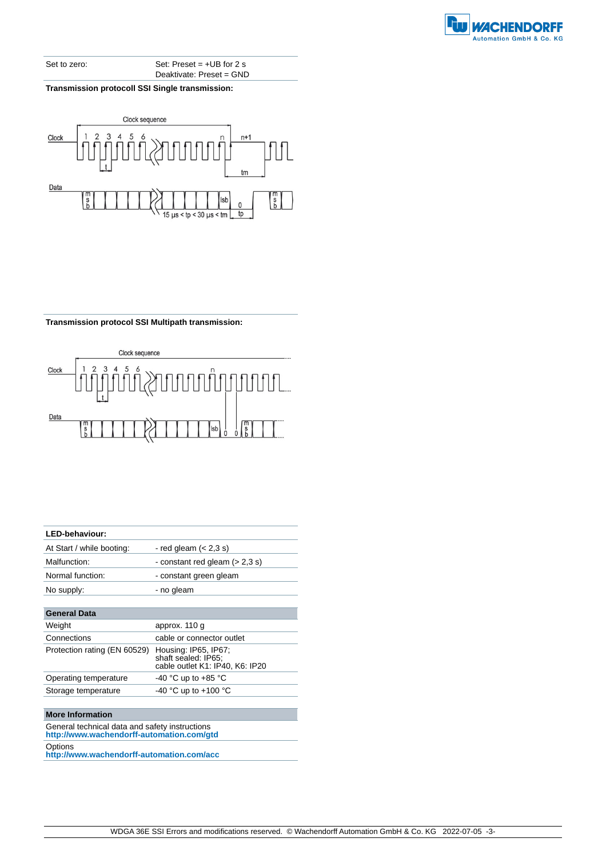

Set to zero: Set: Preset = +UB for 2 s Deaktivate: Preset = GND

**Transmission protocoll SSI Single transmission:**



**Transmission protocol SSI Multipath transmission:**



| LED-behaviour:               |                                                                                |  |  |  |  |  |
|------------------------------|--------------------------------------------------------------------------------|--|--|--|--|--|
| At Start / while booting:    | - red gleam $(< 2.3$ s)                                                        |  |  |  |  |  |
| Malfunction:                 | - constant red gleam $(>2,3 s)$                                                |  |  |  |  |  |
| Normal function:             | - constant green gleam                                                         |  |  |  |  |  |
| No supply:                   | - no gleam                                                                     |  |  |  |  |  |
|                              |                                                                                |  |  |  |  |  |
| General Data                 |                                                                                |  |  |  |  |  |
| Weight                       | approx. 110 g                                                                  |  |  |  |  |  |
| Connections                  | cable or connector outlet                                                      |  |  |  |  |  |
| Protection rating (EN 60529) | Housing: IP65, IP67;<br>shaft sealed: IP65:<br>cable outlet K1: IP40, K6: IP20 |  |  |  |  |  |
| Operating temperature        | -40 °C up to +85 °C                                                            |  |  |  |  |  |
| Storage temperature          | -40 °C up to +100 °C                                                           |  |  |  |  |  |
|                              |                                                                                |  |  |  |  |  |

#### **More Information**

General technical data and safety instructions **http://www.wachendorff-automation.com/gtd Options** 

**http://www.wachendorff-automation.com/acc**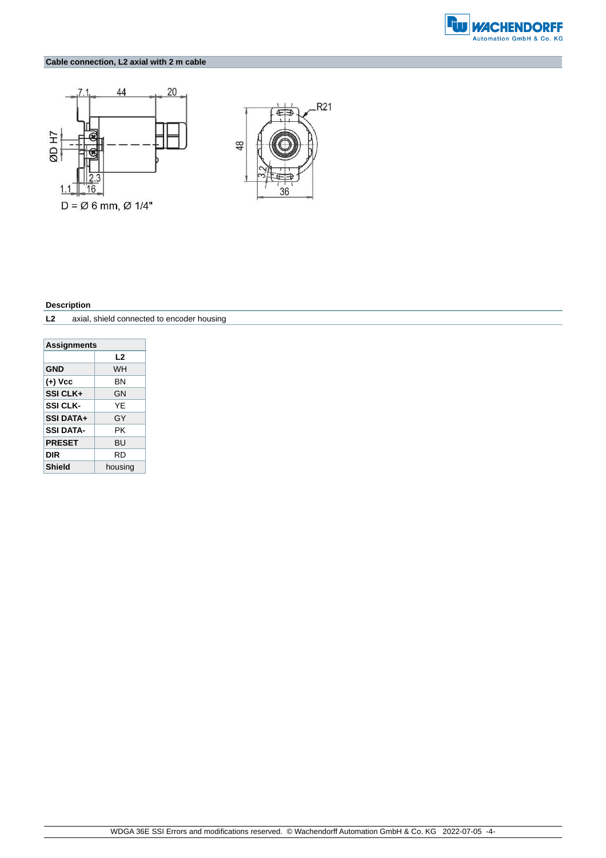

### **Cable connection, L2 axial with 2 m cable**





#### **Description**

**L2** axial, shield connected to encoder housing

| <b>Assignments</b>       |           |  |  |  |  |  |  |  |
|--------------------------|-----------|--|--|--|--|--|--|--|
| L2                       |           |  |  |  |  |  |  |  |
| <b>GND</b>               | <b>WH</b> |  |  |  |  |  |  |  |
| (+) Vcc                  | ΒN        |  |  |  |  |  |  |  |
| SSI CLK+<br>GN           |           |  |  |  |  |  |  |  |
| <b>SSI CLK-</b>          | YF        |  |  |  |  |  |  |  |
| <b>SSI DATA+</b>         | GY        |  |  |  |  |  |  |  |
| PΚ<br><b>SSI DATA-</b>   |           |  |  |  |  |  |  |  |
| <b>PRESET</b>            | <b>BU</b> |  |  |  |  |  |  |  |
| DIR<br>RD                |           |  |  |  |  |  |  |  |
| <b>Shield</b><br>housing |           |  |  |  |  |  |  |  |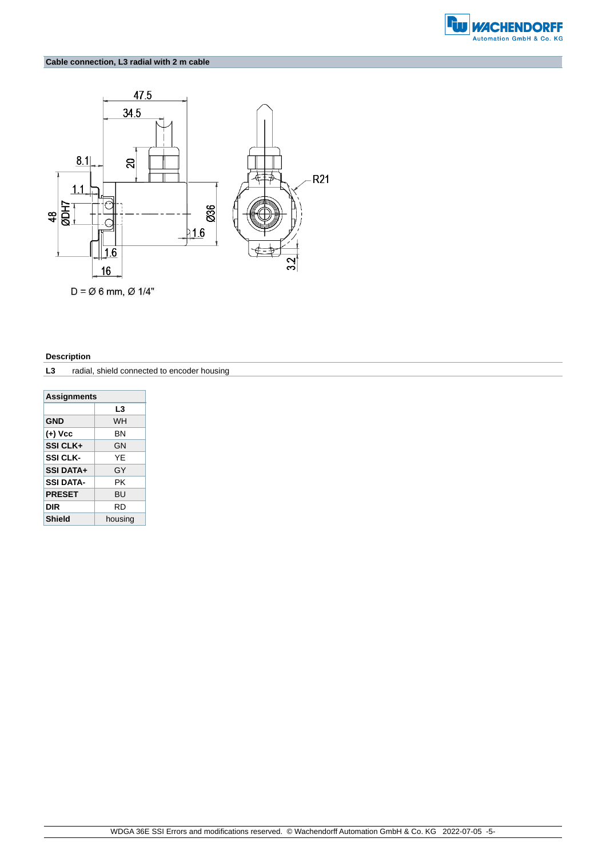

### **Cable connection, L3 radial with 2 m cable**



#### **Description**

**L3** radial, shield connected to encoder housing

| <b>Assignments</b>    |           |  |  |  |  |  |  |  |
|-----------------------|-----------|--|--|--|--|--|--|--|
| L3                    |           |  |  |  |  |  |  |  |
| <b>GND</b>            | <b>WH</b> |  |  |  |  |  |  |  |
| (+) Vcc               | ΒN        |  |  |  |  |  |  |  |
| <b>SSI CLK+</b><br>GN |           |  |  |  |  |  |  |  |
| <b>SSI CLK-</b>       | YF        |  |  |  |  |  |  |  |
| <b>SSI DATA+</b>      | GY        |  |  |  |  |  |  |  |
| <b>SSI DATA-</b>      | PΚ        |  |  |  |  |  |  |  |
| <b>PRESET</b>         | BU        |  |  |  |  |  |  |  |
| <b>DIR</b>            | RD        |  |  |  |  |  |  |  |
| <b>Shield</b>         | housing   |  |  |  |  |  |  |  |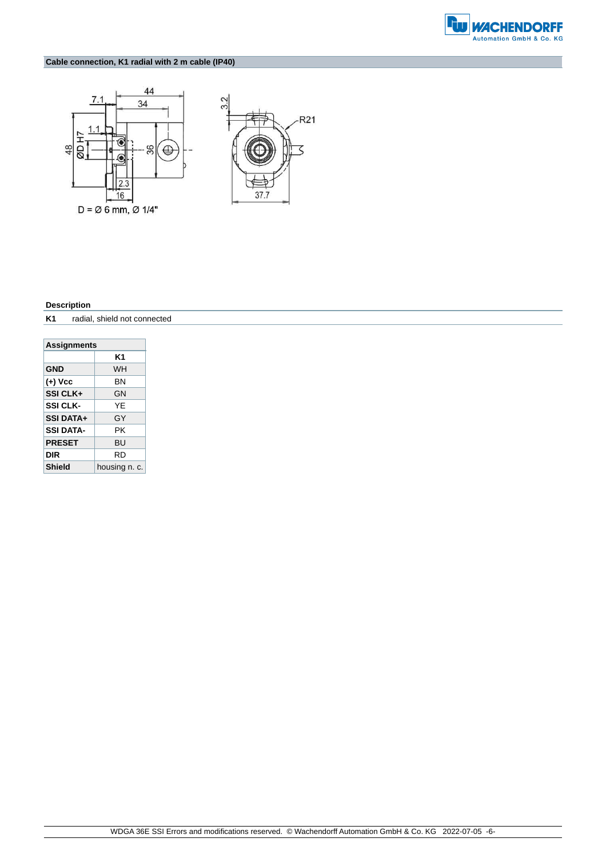

# **Cable connection, K1 radial with 2 m cable (IP40)**





#### **Description**

**K1** radial, shield not connected

| <b>Assignments</b> |               |  |  |  |  |  |  |  |
|--------------------|---------------|--|--|--|--|--|--|--|
| K1                 |               |  |  |  |  |  |  |  |
| <b>GND</b>         | <b>WH</b>     |  |  |  |  |  |  |  |
| (+) Vcc            | ΒN            |  |  |  |  |  |  |  |
| SSI CLK+           | GN            |  |  |  |  |  |  |  |
| <b>SSI CLK-</b>    | YF            |  |  |  |  |  |  |  |
| <b>SSI DATA+</b>   | GY            |  |  |  |  |  |  |  |
| <b>SSI DATA-</b>   | PΚ            |  |  |  |  |  |  |  |
| <b>PRESET</b>      | BU            |  |  |  |  |  |  |  |
| DIR                | RD            |  |  |  |  |  |  |  |
| <b>Shield</b>      | housing n. c. |  |  |  |  |  |  |  |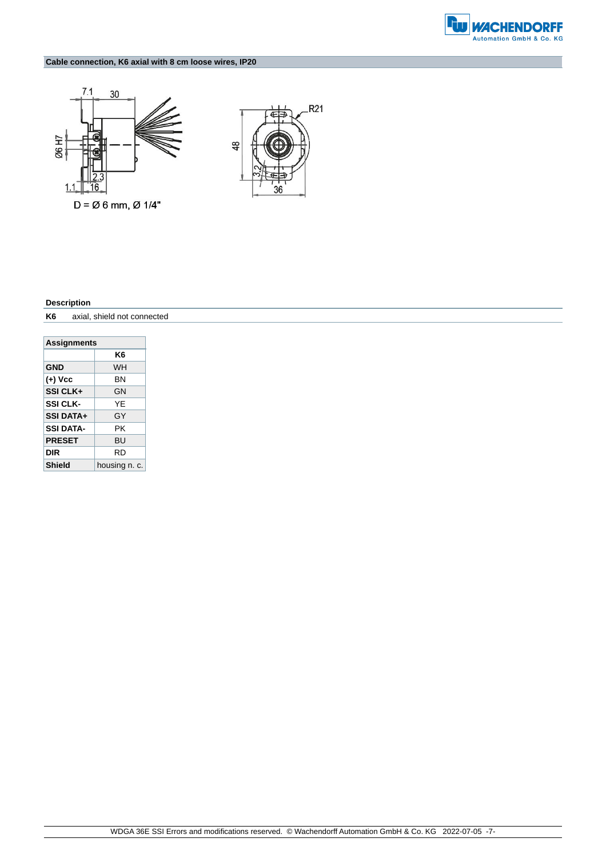

# **Cable connection, K6 axial with 8 cm loose wires, IP20**





#### **Description**

**K6** axial, shield not connected

| <b>Assignments</b> |               |  |  |  |  |  |  |  |
|--------------------|---------------|--|--|--|--|--|--|--|
| K6                 |               |  |  |  |  |  |  |  |
| <b>GND</b>         | <b>WH</b>     |  |  |  |  |  |  |  |
| (+) Vcc<br>ΒN      |               |  |  |  |  |  |  |  |
| SSI CLK+           | GN            |  |  |  |  |  |  |  |
| <b>SSI CLK-</b>    | YF            |  |  |  |  |  |  |  |
| <b>SSI DATA+</b>   | GY            |  |  |  |  |  |  |  |
| SSI DATA-          | PΚ            |  |  |  |  |  |  |  |
| <b>PRESET</b>      | <b>BU</b>     |  |  |  |  |  |  |  |
| DIR                | RD            |  |  |  |  |  |  |  |
| <b>Shield</b>      | housing n. c. |  |  |  |  |  |  |  |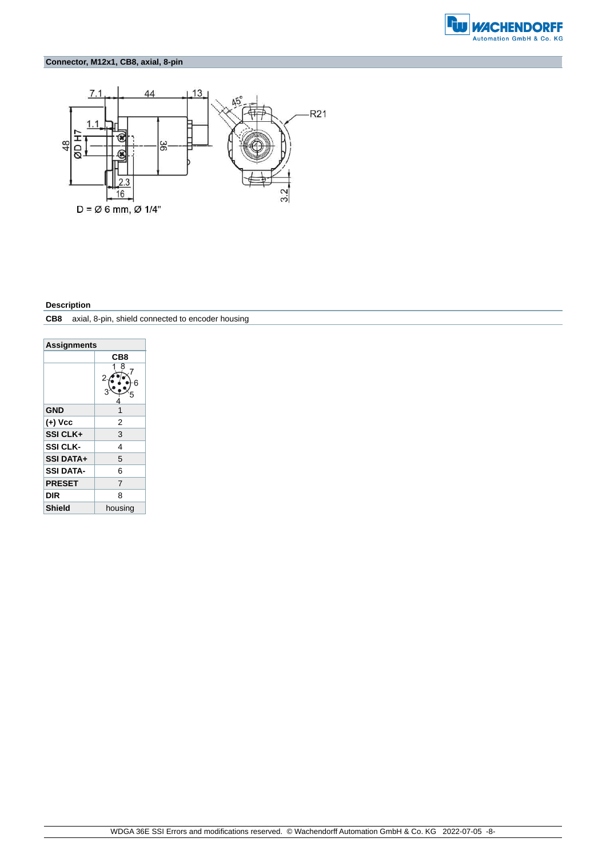

# **Connector, M12x1, CB8, axial, 8-pin**



#### **Description**

**CB8** axial, 8-pin, shield connected to encoder housing

| <b>Assignments</b> |                |  |  |  |  |  |  |
|--------------------|----------------|--|--|--|--|--|--|
|                    | CB8            |  |  |  |  |  |  |
|                    | 8<br>2         |  |  |  |  |  |  |
| <b>GND</b>         | 1              |  |  |  |  |  |  |
| (+) Vcc            | 2              |  |  |  |  |  |  |
| SSI CLK+           | 3              |  |  |  |  |  |  |
| <b>SSI CLK-</b>    | 4              |  |  |  |  |  |  |
| <b>SSI DATA+</b>   | 5              |  |  |  |  |  |  |
| <b>SSI DATA-</b>   | 6              |  |  |  |  |  |  |
| <b>PRESET</b>      | $\overline{7}$ |  |  |  |  |  |  |
| DIR                | 8              |  |  |  |  |  |  |
| <b>Shield</b>      | housing        |  |  |  |  |  |  |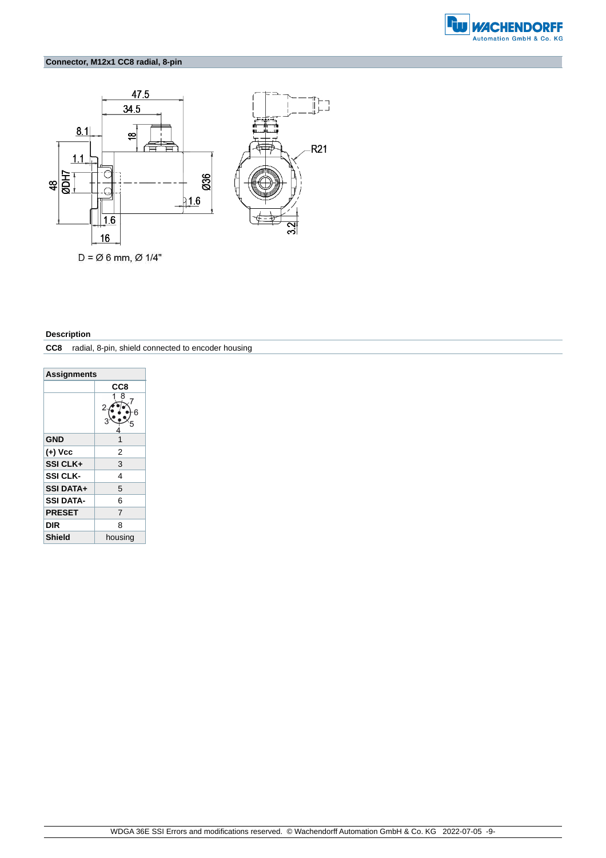

# **Connector, M12x1 CC8 radial, 8-pin**



#### **Description**

**CC8** radial, 8-pin, shield connected to encoder housing

| <b>Assignments</b> |             |  |  |  |  |  |  |
|--------------------|-------------|--|--|--|--|--|--|
|                    | CC8         |  |  |  |  |  |  |
|                    | 8<br>2<br>6 |  |  |  |  |  |  |
| <b>GND</b>         | 1           |  |  |  |  |  |  |
| (+) Vcc            | 2           |  |  |  |  |  |  |
| SSI CLK+           | 3           |  |  |  |  |  |  |
| <b>SSI CLK-</b>    | 4           |  |  |  |  |  |  |
| <b>SSI DATA+</b>   | 5           |  |  |  |  |  |  |
| <b>SSI DATA-</b>   | 6           |  |  |  |  |  |  |
| <b>PRESET</b>      | 7           |  |  |  |  |  |  |
| DIR                | 8           |  |  |  |  |  |  |
| <b>Shield</b>      | housing     |  |  |  |  |  |  |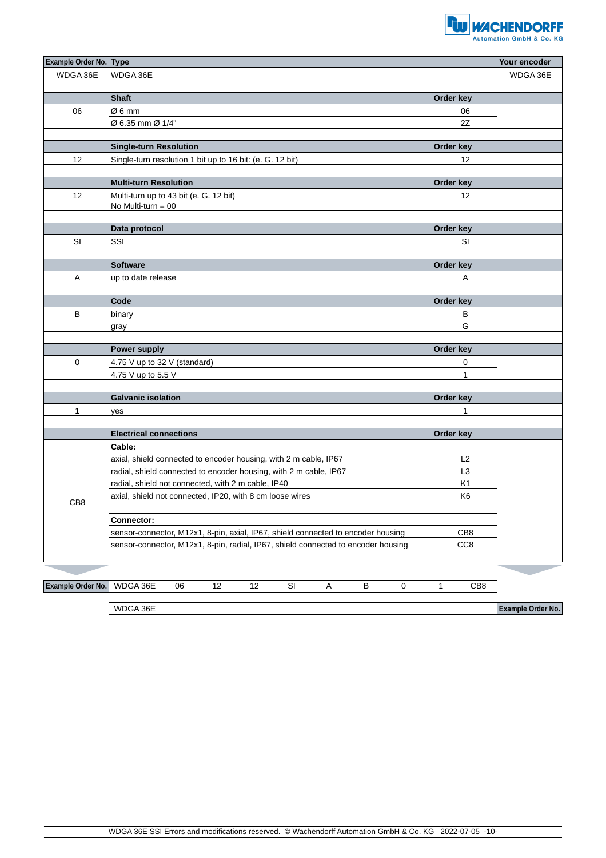

| Example Order No. Type |                                                                                   |    |    |    |    |   |   |                 |                 |                 | Your encoder      |  |
|------------------------|-----------------------------------------------------------------------------------|----|----|----|----|---|---|-----------------|-----------------|-----------------|-------------------|--|
| WDGA 36E               | WDGA 36E                                                                          |    |    |    |    |   |   |                 |                 | WDGA 36E        |                   |  |
|                        |                                                                                   |    |    |    |    |   |   |                 |                 |                 |                   |  |
|                        | <b>Shaft</b>                                                                      |    |    |    |    |   |   | Order key       |                 |                 |                   |  |
| 06                     | Ø6mm                                                                              |    |    |    |    |   |   |                 |                 | 06              |                   |  |
|                        | Ø 6.35 mm Ø 1/4"                                                                  |    |    |    |    |   |   |                 | 2Z              |                 |                   |  |
|                        |                                                                                   |    |    |    |    |   |   |                 |                 |                 |                   |  |
|                        | <b>Single-turn Resolution</b>                                                     |    |    |    |    |   |   |                 |                 | Order key       |                   |  |
| 12                     | Single-turn resolution 1 bit up to 16 bit: (e. G. 12 bit)                         |    |    |    |    |   |   |                 |                 | 12              |                   |  |
|                        |                                                                                   |    |    |    |    |   |   |                 |                 |                 |                   |  |
|                        | <b>Multi-turn Resolution</b>                                                      |    |    |    |    |   |   |                 | Order key       |                 |                   |  |
| 12                     | Multi-turn up to 43 bit (e. G. 12 bit)                                            |    |    |    |    |   |   |                 |                 | 12              |                   |  |
|                        | No Multi-turn = $00$                                                              |    |    |    |    |   |   |                 |                 |                 |                   |  |
|                        | Data protocol                                                                     |    |    |    |    |   |   |                 |                 | Order key       |                   |  |
| SI                     | SSI                                                                               |    |    |    |    |   |   |                 |                 | SI              |                   |  |
|                        |                                                                                   |    |    |    |    |   |   |                 |                 |                 |                   |  |
|                        | <b>Software</b>                                                                   |    |    |    |    |   |   |                 | Order key       |                 |                   |  |
| A                      | up to date release                                                                |    |    |    |    |   |   |                 |                 | Α               |                   |  |
|                        |                                                                                   |    |    |    |    |   |   |                 |                 |                 |                   |  |
|                        | Code                                                                              |    |    |    |    |   |   |                 | Order key       |                 |                   |  |
| B                      | binary                                                                            |    |    |    |    |   |   |                 |                 | B               |                   |  |
|                        | gray                                                                              |    |    |    |    |   |   |                 |                 | G               |                   |  |
|                        |                                                                                   |    |    |    |    |   |   |                 |                 |                 |                   |  |
|                        | <b>Power supply</b>                                                               |    |    |    |    |   |   |                 | Order key       |                 |                   |  |
| $\mathbf 0$            | 4.75 V up to 32 V (standard)                                                      |    |    |    |    |   |   |                 |                 | 0               |                   |  |
|                        | 4.75 V up to 5.5 V                                                                |    |    |    |    |   |   |                 |                 | $\mathbf{1}$    |                   |  |
|                        |                                                                                   |    |    |    |    |   |   |                 |                 |                 |                   |  |
|                        | <b>Galvanic isolation</b>                                                         |    |    |    |    |   |   |                 | Order key       |                 |                   |  |
| 1                      | yes                                                                               |    |    |    |    |   |   |                 |                 | $\mathbf{1}$    |                   |  |
|                        |                                                                                   |    |    |    |    |   |   |                 |                 |                 |                   |  |
|                        | <b>Electrical connections</b>                                                     |    |    |    |    |   |   |                 | Order key       |                 |                   |  |
|                        | Cable:                                                                            |    |    |    |    |   |   |                 |                 |                 |                   |  |
|                        | axial, shield connected to encoder housing, with 2 m cable, IP67                  |    |    |    |    |   |   |                 |                 | L2              |                   |  |
|                        | radial, shield connected to encoder housing, with 2 m cable, IP67                 |    |    |    |    |   |   |                 |                 | L <sub>3</sub>  |                   |  |
|                        | radial, shield not connected, with 2 m cable, IP40                                |    |    |    |    |   |   |                 |                 | K <sub>1</sub>  |                   |  |
| CB <sub>8</sub>        | axial, shield not connected, IP20, with 8 cm loose wires                          |    |    |    |    |   |   |                 | K <sub>6</sub>  |                 |                   |  |
|                        |                                                                                   |    |    |    |    |   |   |                 |                 |                 |                   |  |
|                        | <b>Connector:</b>                                                                 |    |    |    |    |   |   |                 |                 |                 |                   |  |
|                        | sensor-connector, M12x1, 8-pin, axial, IP67, shield connected to encoder housing  |    |    |    |    |   |   | CB <sub>8</sub> |                 |                 |                   |  |
|                        | sensor-connector, M12x1, 8-pin, radial, IP67, shield connected to encoder housing |    |    |    |    |   |   |                 | CC <sub>8</sub> |                 |                   |  |
|                        |                                                                                   |    |    |    |    |   |   |                 |                 |                 |                   |  |
|                        |                                                                                   |    |    |    |    |   |   |                 |                 |                 |                   |  |
| Example Order No.      | WDGA 36E                                                                          | 06 | 12 | 12 | SI | A | В | 0               | 1               | CB <sub>8</sub> |                   |  |
|                        |                                                                                   |    |    |    |    |   |   |                 |                 |                 |                   |  |
|                        | WDGA 36E                                                                          |    |    |    |    |   |   |                 |                 |                 | Example Order No. |  |